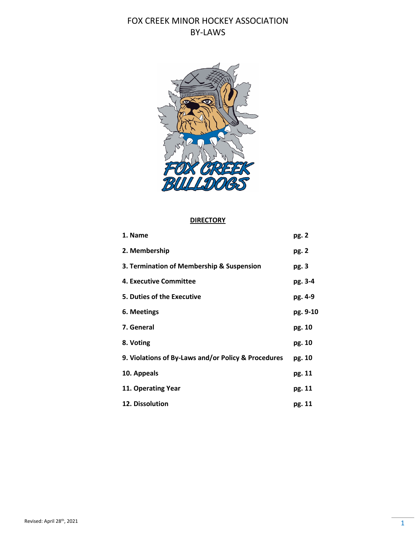

#### **DIRECTORY**

| 1. Name                                             | pg. 2    |
|-----------------------------------------------------|----------|
| 2. Membership                                       | pg. 2    |
| 3. Termination of Membership & Suspension           | pg. 3    |
| 4. Executive Committee                              | pg. 3-4  |
| 5. Duties of the Executive                          | pg. 4-9  |
| 6. Meetings                                         | pg. 9-10 |
| 7. General                                          | pg. 10   |
| 8. Voting                                           | pg. 10   |
| 9. Violations of By-Laws and/or Policy & Procedures | pg. 10   |
| 10. Appeals                                         | pg. 11   |
| 11. Operating Year                                  | pg. 11   |
| 12. Dissolution                                     | pg. 11   |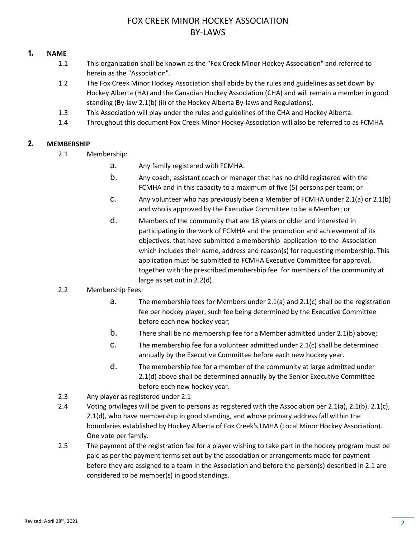## 1. **NAME**

- 1.1 This organization shall be known as the "Fox Creek Minor Hockey Association" and referred to herein as the "Association".
- 1.2 The Fox Creek Minor Hockey Association shall abide by the rules and guidelines as set down by Hockey Alberta (HA) and the Canadian Hockey Association (CHA) and will remain a member in good standing (By-law 2.1(b) (ii) of the Hockey Alberta By-laws and Regulations).
- 1.3 This Association will play under the rules and guidelines of the CHA and Hockey Alberta.
- 1.4 Throughout this document Fox Creek Minor Hockey Association will also be referred to as FCMHA

## 2. **MEMBERSHIP**

- 2.1 Membership:
	- a. Any family registered with FCMHA.
	- b. Any coach, assistant coach or manager that has no child registered with the FCMHA and in this capacity to a maximum of five (5) persons per team; or
	- c. Any volunteer who has previously been a Member of FCMHA under 2.1(a) or 2.1(b) and who is approved by the Executive Committee to be a Member; or
	- d. Members of the community that are 18 years or older and interested in participating in the work of FCMHA and the promotion and achievement of its objectives, that have submitted a membership application to the Association which includes their name, address and reason(s) for requesting membership. This application must be submitted to FCMHA Executive Committee for approval, together with the prescribed membership fee for members of the community at large as set out in 2.2(d).
- 2.2 Membership Fees:
	- a. The membership fees for Members under 2.1(a) and 2.1(c) shall be the registration fee per hockey player, such fee being determined by the Executive Committee before each new hockey year;
	- b. There shall be no membership fee for a Member admitted under 2.1(b) above;
	- c. The membership fee for a volunteer admitted under 2.1(c) shall be determined annually by the Executive Committee before each new hockey year.
	- d. The membership fee for a member of the community at large admitted under 2.1(d) above shall be determined annually by the Senior Executive Committee before each new hockey year.
- 2.3 Any player as registered under 2.1
- 2.4 Voting privileges will be given to persons as registered with the Association per 2.1(a), 2.1(b). 2.1(c), 2.1(d), who have membership in good standing, and whose primary address fall within the boundaries established by Hockey Alberta of Fox Creek's LMHA (Local Minor Hockey Association). One vote per family.
- 2.5 The payment of the registration fee for a player wishing to take part in the hockey program must be paid as per the payment terms set out by the association or arrangements made for payment before they are assigned to a team in the Association and before the person(s) described in 2.1 are considered to be member(s) in good standings.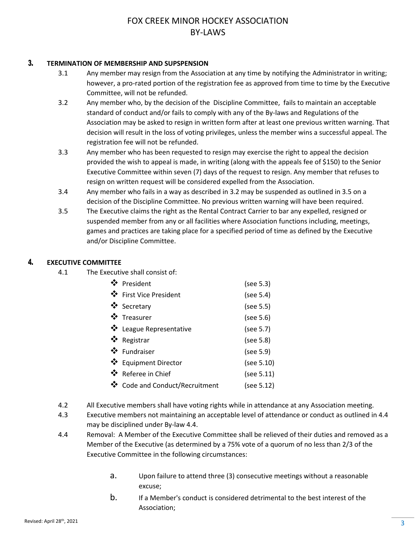### 3. **TERMINATION OF MEMBERSHIP AND SUPSPENSION**

- 3.1 Any member may resign from the Association at any time by notifying the Administrator in writing; however, a pro-rated portion of the registration fee as approved from time to time by the Executive Committee, will not be refunded.
- 3.2 Any member who, by the decision of the Discipline Committee, fails to maintain an acceptable standard of conduct and/or fails to comply with any of the By-laws and Regulations of the Association may be asked to resign in written form after at least one previous written warning. That decision will result in the loss of voting privileges, unless the member wins a successful appeal. The registration fee will not be refunded.
- 3.3 Any member who has been requested to resign may exercise the right to appeal the decision provided the wish to appeal is made, in writing (along with the appeals fee of \$150) to the Senior Executive Committee within seven (7) days of the request to resign. Any member that refuses to resign on written request will be considered expelled from the Association.
- 3.4 Any member who fails in a way as described in 3.2 may be suspended as outlined in 3.5 on a decision of the Discipline Committee. No previous written warning will have been required.
- 3.5 The Executive claims the right as the Rental Contract Carrier to bar any expelled, resigned or suspended member from any or all facilities where Association functions including, meetings, games and practices are taking place for a specified period of time as defined by the Executive and/or Discipline Committee.

## 4. **EXECUTIVE COMMITTEE**

4.1 The Executive shall consist of:

| ❖ President                    | (see 5.3)  |
|--------------------------------|------------|
| ❖ First Vice President         | (see 5.4)  |
| ❖ Secretary                    | (see 5.5)  |
| ❖ Treasurer                    | (see 5.6)  |
| ❖ League Representative        | (see 5.7)  |
| ❖ Registrar                    | (see 5.8)  |
| ❖ Fundraiser                   | (see 5.9)  |
| ❖ Equipment Director           | (see 5.10) |
| ❖ Referee in Chief             | (see 5.11) |
| ❖ Code and Conduct/Recruitment | (see 5.12) |
|                                |            |

- 4.2 All Executive members shall have voting rights while in attendance at any Association meeting.
- 4.3 Executive members not maintaining an acceptable level of attendance or conduct as outlined in 4.4 may be disciplined under By-law 4.4.
- 4.4 Removal: A Member of the Executive Committee shall be relieved of their duties and removed as a Member of the Executive (as determined by a 75% vote of a quorum of no less than 2/3 of the Executive Committee in the following circumstances:
	- a. Upon failure to attend three (3) consecutive meetings without a reasonable excuse;
	- b. If a Member's conduct is considered detrimental to the best interest of the Association;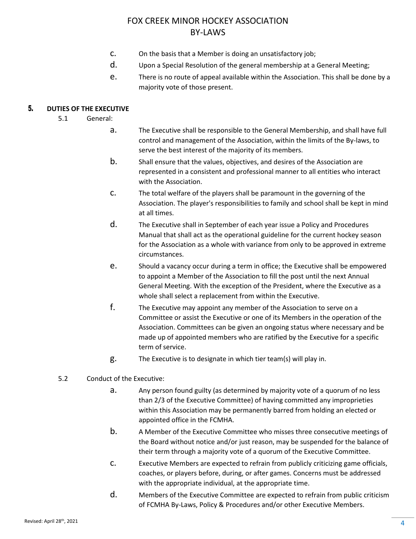- c. On the basis that a Member is doing an unsatisfactory job;
- d. Upon a Special Resolution of the general membership at a General Meeting;
- e. There is no route of appeal available within the Association. This shall be done by a majority vote of those present.

## 5. **DUTIES OF THE EXECUTIVE**

- 5.1 General:
	- a. The Executive shall be responsible to the General Membership, and shall have full control and management of the Association, within the limits of the By-laws, to serve the best interest of the majority of its members.
	- b. Shall ensure that the values, objectives, and desires of the Association are represented in a consistent and professional manner to all entities who interact with the Association.
	- c. The total welfare of the players shall be paramount in the governing of the Association. The player's responsibilities to family and school shall be kept in mind at all times.
	- d. The Executive shall in September of each year issue a Policy and Procedures Manual that shall act as the operational guideline for the current hockey season for the Association as a whole with variance from only to be approved in extreme circumstances.
	- e. Should a vacancy occur during a term in office; the Executive shall be empowered to appoint a Member of the Association to fill the post until the next Annual General Meeting. With the exception of the President, where the Executive as a whole shall select a replacement from within the Executive.
	- f. The Executive may appoint any member of the Association to serve on a Committee or assist the Executive or one of its Members in the operation of the Association. Committees can be given an ongoing status where necessary and be made up of appointed members who are ratified by the Executive for a specific term of service.
	- g. The Executive is to designate in which tier team(s) will play in.
- 5.2 Conduct of the Executive:
	- a. Any person found guilty (as determined by majority vote of a quorum of no less than 2/3 of the Executive Committee) of having committed any improprieties within this Association may be permanently barred from holding an elected or appointed office in the FCMHA.
	- b. A Member of the Executive Committee who misses three consecutive meetings of the Board without notice and/or just reason, may be suspended for the balance of their term through a majority vote of a quorum of the Executive Committee.
	- c. Executive Members are expected to refrain from publicly criticizing game officials, coaches, or players before, during, or after games. Concerns must be addressed with the appropriate individual, at the appropriate time.
	- d. Members of the Executive Committee are expected to refrain from public criticism of FCMHA By-Laws, Policy & Procedures and/or other Executive Members.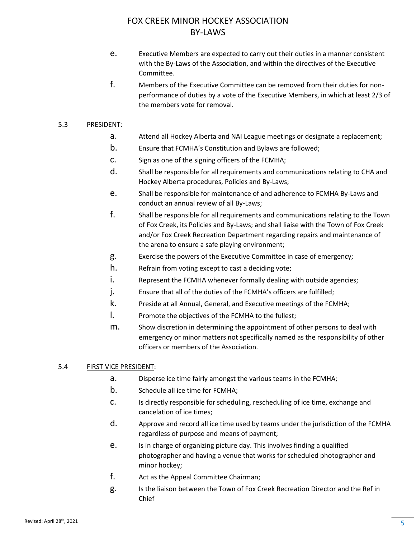- e. Executive Members are expected to carry out their duties in a manner consistent with the By-Laws of the Association, and within the directives of the Executive Committee.
- f. Members of the Executive Committee can be removed from their duties for nonperformance of duties by a vote of the Executive Members, in which at least 2/3 of the members vote for removal.

### 5.3 PRESIDENT:

- a. Attend all Hockey Alberta and NAI League meetings or designate a replacement;
- b. Ensure that FCMHA's Constitution and Bylaws are followed;
- c. Sign as one of the signing officers of the FCMHA;
- d. Shall be responsible for all requirements and communications relating to CHA and Hockey Alberta procedures, Policies and By-Laws;
- e. Shall be responsible for maintenance of and adherence to FCMHA By-Laws and conduct an annual review of all By-Laws;
- f. Shall be responsible for all requirements and communications relating to the Town of Fox Creek, its Policies and By-Laws; and shall liaise with the Town of Fox Creek and/or Fox Creek Recreation Department regarding repairs and maintenance of the arena to ensure a safe playing environment;
- g. Exercise the powers of the Executive Committee in case of emergency;
- h. Refrain from voting except to cast a deciding vote;
- i. Represent the FCMHA whenever formally dealing with outside agencies;
- j. Ensure that all of the duties of the FCMHA's officers are fulfilled;
- k. Preside at all Annual, General, and Executive meetings of the FCMHA;
- l. Promote the objectives of the FCMHA to the fullest;
- m. Show discretion in determining the appointment of other persons to deal with emergency or minor matters not specifically named as the responsibility of other officers or members of the Association.

## 5.4 FIRST VICE PRESIDENT:

- a. Disperse ice time fairly amongst the various teams in the FCMHA;
- b. Schedule all ice time for FCMHA;
- c. Is directly responsible for scheduling, rescheduling of ice time, exchange and cancelation of ice times;
- d. Approve and record all ice time used by teams under the jurisdiction of the FCMHA regardless of purpose and means of payment;
- e. Is in charge of organizing picture day. This involves finding a qualified photographer and having a venue that works for scheduled photographer and minor hockey;
- f. Act as the Appeal Committee Chairman;
- g. Is the liaison between the Town of Fox Creek Recreation Director and the Ref in Chief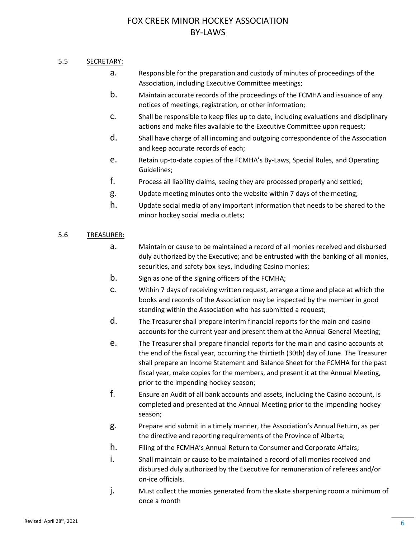## 5.5 SECRETARY:

- a. Responsible for the preparation and custody of minutes of proceedings of the Association, including Executive Committee meetings;
- b. Maintain accurate records of the proceedings of the FCMHA and issuance of any notices of meetings, registration, or other information;
- c. Shall be responsible to keep files up to date, including evaluations and disciplinary actions and make files available to the Executive Committee upon request;
- d. Shall have charge of all incoming and outgoing correspondence of the Association and keep accurate records of each;
- e. Retain up-to-date copies of the FCMHA's By-Laws, Special Rules, and Operating Guidelines;
- f. Process all liability claims, seeing they are processed properly and settled;
- g. Update meeting minutes onto the website within 7 days of the meeting;
- h. Update social media of any important information that needs to be shared to the minor hockey social media outlets;

## 5.6 TREASURER:

- a. Maintain or cause to be maintained a record of all monies received and disbursed duly authorized by the Executive; and be entrusted with the banking of all monies, securities, and safety box keys, including Casino monies;
- b. Sign as one of the signing officers of the FCMHA;
- c. Within 7 days of receiving written request, arrange a time and place at which the books and records of the Association may be inspected by the member in good standing within the Association who has submitted a request;
- d. The Treasurer shall prepare interim financial reports for the main and casino accounts for the current year and present them at the Annual General Meeting;
- e. The Treasurer shall prepare financial reports for the main and casino accounts at the end of the fiscal year, occurring the thirtieth (30th) day of June. The Treasurer shall prepare an Income Statement and Balance Sheet for the FCMHA for the past fiscal year, make copies for the members, and present it at the Annual Meeting, prior to the impending hockey season;
- f. Ensure an Audit of all bank accounts and assets, including the Casino account, is completed and presented at the Annual Meeting prior to the impending hockey season;
- g. Prepare and submit in a timely manner, the Association's Annual Return, as per the directive and reporting requirements of the Province of Alberta;
- h. Filing of the FCMHA's Annual Return to Consumer and Corporate Affairs;
- i. Shall maintain or cause to be maintained a record of all monies received and disbursed duly authorized by the Executive for remuneration of referees and/or on-ice officials.
- j. Must collect the monies generated from the skate sharpening room a minimum of once a month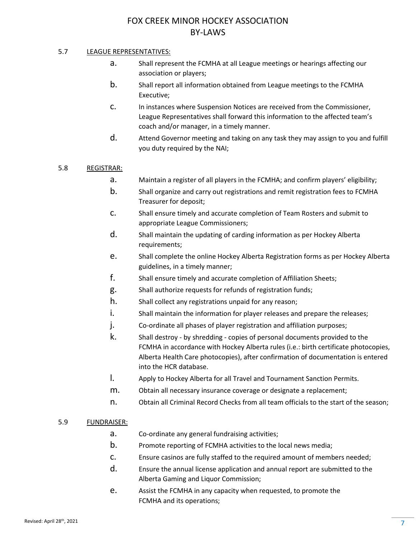## 5.7 LEAGUE REPRESENTATIVES:

- a. Shall represent the FCMHA at all League meetings or hearings affecting our association or players;
- b. Shall report all information obtained from League meetings to the FCMHA Executive;
- c. In instances where Suspension Notices are received from the Commissioner, League Representatives shall forward this information to the affected team's coach and/or manager, in a timely manner.
- d. Attend Governor meeting and taking on any task they may assign to you and fulfill you duty required by the NAI;

## 5.8 REGISTRAR:

- a. Maintain a register of all players in the FCMHA; and confirm players' eligibility;
- b. Shall organize and carry out registrations and remit registration fees to FCMHA Treasurer for deposit;
- c. Shall ensure timely and accurate completion of Team Rosters and submit to appropriate League Commissioners;
- d. Shall maintain the updating of carding information as per Hockey Alberta requirements;
- e. Shall complete the online Hockey Alberta Registration forms as per Hockey Alberta guidelines, in a timely manner;
- f. Shall ensure timely and accurate completion of Affiliation Sheets;
- g. Shall authorize requests for refunds of registration funds;
- h. Shall collect any registrations unpaid for any reason;
- i. Shall maintain the information for player releases and prepare the releases;
- j. Co-ordinate all phases of player registration and affiliation purposes;
- k. Shall destroy by shredding copies of personal documents provided to the FCMHA in accordance with Hockey Alberta rules (i.e.: birth certificate photocopies, Alberta Health Care photocopies), after confirmation of documentation is entered into the HCR database.
- l. Apply to Hockey Alberta for all Travel and Tournament Sanction Permits.
- m. Obtain all necessary insurance coverage or designate a replacement;
- n. Obtain all Criminal Record Checks from all team officials to the start of the season;

#### 5.9 FUNDRAISER:

- a. Co-ordinate any general fundraising activities;
- b. Promote reporting of FCMHA activities to the local news media;
- c. Ensure casinos are fully staffed to the required amount of members needed;
- d. Ensure the annual license application and annual report are submitted to the Alberta Gaming and Liquor Commission;
- e. Assist the FCMHA in any capacity when requested, to promote the FCMHA and its operations;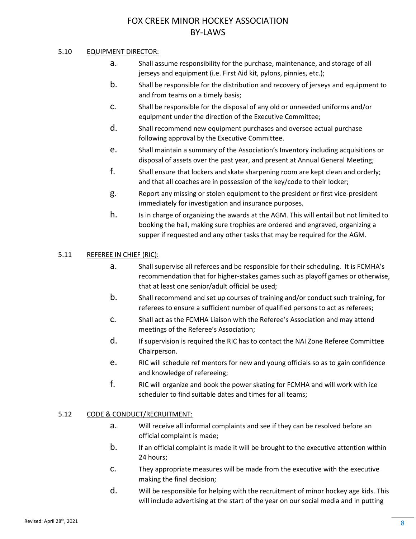## 5.10 EQUIPMENT DIRECTOR:

- a. Shall assume responsibility for the purchase, maintenance, and storage of all jerseys and equipment (i.e. First Aid kit, pylons, pinnies, etc.);
- b. Shall be responsible for the distribution and recovery of jerseys and equipment to and from teams on a timely basis;
- c. Shall be responsible for the disposal of any old or unneeded uniforms and/or equipment under the direction of the Executive Committee;
- d. Shall recommend new equipment purchases and oversee actual purchase following approval by the Executive Committee.
- e. Shall maintain a summary of the Association's Inventory including acquisitions or disposal of assets over the past year, and present at Annual General Meeting;
- f. Shall ensure that lockers and skate sharpening room are kept clean and orderly; and that all coaches are in possession of the key/code to their locker;
- g. Report any missing or stolen equipment to the president or first vice-president immediately for investigation and insurance purposes.
- h. Is in charge of organizing the awards at the AGM. This will entail but not limited to booking the hall, making sure trophies are ordered and engraved, organizing a supper if requested and any other tasks that may be required for the AGM.

### 5.11 REFEREE IN CHIEF (RIC):

- a. Shall supervise all referees and be responsible for their scheduling. It is FCMHA's recommendation that for higher-stakes games such as playoff games or otherwise, that at least one senior/adult official be used;
- b. Shall recommend and set up courses of training and/or conduct such training, for referees to ensure a sufficient number of qualified persons to act as referees;
- c. Shall act as the FCMHA Liaison with the Referee's Association and may attend meetings of the Referee's Association;
- d. If supervision is required the RIC has to contact the NAI Zone Referee Committee Chairperson.
- e. RIC will schedule ref mentors for new and young officials so as to gain confidence and knowledge of refereeing;
- f. RIC will organize and book the power skating for FCMHA and will work with ice scheduler to find suitable dates and times for all teams;

## 5.12 CODE & CONDUCT/RECRUITMENT:

- a. Will receive all informal complaints and see if they can be resolved before an official complaint is made;
- b. If an official complaint is made it will be brought to the executive attention within 24 hours;
- c. They appropriate measures will be made from the executive with the executive making the final decision;
- d. Will be responsible for helping with the recruitment of minor hockey age kids. This will include advertising at the start of the year on our social media and in putting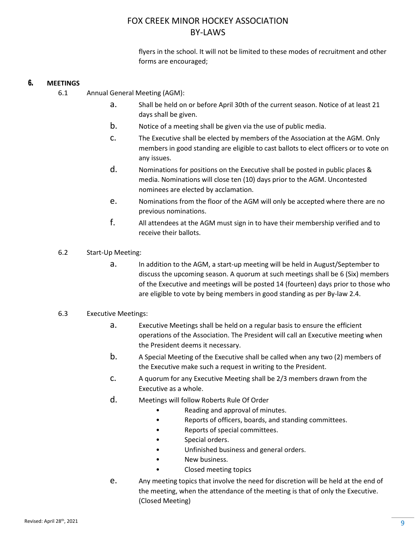flyers in the school. It will not be limited to these modes of recruitment and other forms are encouraged;

## 6. **MEETINGS**

- 6.1 Annual General Meeting (AGM):
	- a. Shall be held on or before April 30th of the current season. Notice of at least 21 days shall be given.
	- b. Notice of a meeting shall be given via the use of public media.
	- c. The Executive shall be elected by members of the Association at the AGM. Only members in good standing are eligible to cast ballots to elect officers or to vote on any issues.
	- d. Nominations for positions on the Executive shall be posted in public places & media. Nominations will close ten (10) days prior to the AGM. Uncontested nominees are elected by acclamation.
	- e. Nominations from the floor of the AGM will only be accepted where there are no previous nominations.
	- f. All attendees at the AGM must sign in to have their membership verified and to receive their ballots.
- 6.2 Start-Up Meeting:
	- a. In addition to the AGM, a start-up meeting will be held in August/September to discuss the upcoming season. A quorum at such meetings shall be 6 (Six) members of the Executive and meetings will be posted 14 (fourteen) days prior to those who are eligible to vote by being members in good standing as per By-law 2.4.

### 6.3 Executive Meetings:

- a. Executive Meetings shall be held on a regular basis to ensure the efficient operations of the Association. The President will call an Executive meeting when the President deems it necessary.
- b. A Special Meeting of the Executive shall be called when any two (2) members of the Executive make such a request in writing to the President.
- c. A quorum for any Executive Meeting shall be 2/3 members drawn from the Executive as a whole.
- d. Meetings will follow Roberts Rule Of Order
	- Reading and approval of minutes.
	- Reports of officers, boards, and standing committees.
	- Reports of special committees.
	- Special orders.
	- Unfinished business and general orders.
	- New business.
	- Closed meeting topics
- e. Any meeting topics that involve the need for discretion will be held at the end of the meeting, when the attendance of the meeting is that of only the Executive. (Closed Meeting)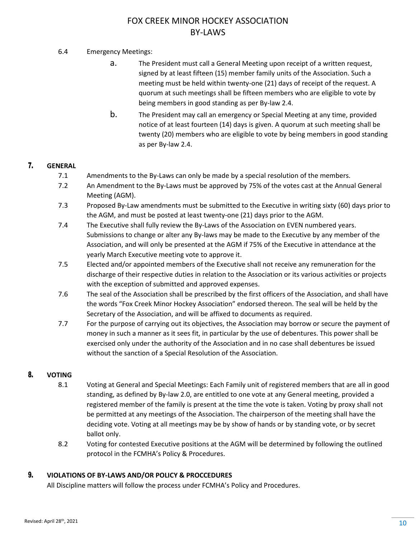## 6.4 Emergency Meetings:

- a. The President must call a General Meeting upon receipt of a written request, signed by at least fifteen (15) member family units of the Association. Such a meeting must be held within twenty-one (21) days of receipt of the request. A quorum at such meetings shall be fifteen members who are eligible to vote by being members in good standing as per By-law 2.4.
- b. The President may call an emergency or Special Meeting at any time, provided notice of at least fourteen (14) days is given. A quorum at such meeting shall be twenty (20) members who are eligible to vote by being members in good standing as per By-law 2.4.

## 7. **GENERAL**

- 7.1 Amendments to the By-Laws can only be made by a special resolution of the members.
- 7.2 An Amendment to the By-Laws must be approved by 75% of the votes cast at the Annual General Meeting (AGM).
- 7.3 Proposed By-Law amendments must be submitted to the Executive in writing sixty (60) days prior to the AGM, and must be posted at least twenty-one (21) days prior to the AGM.
- 7.4 The Executive shall fully review the By-Laws of the Association on EVEN numbered years. Submissions to change or alter any By-laws may be made to the Executive by any member of the Association, and will only be presented at the AGM if 75% of the Executive in attendance at the yearly March Executive meeting vote to approve it.
- 7.5 Elected and/or appointed members of the Executive shall not receive any remuneration for the discharge of their respective duties in relation to the Association or its various activities or projects with the exception of submitted and approved expenses.
- 7.6 The seal of the Association shall be prescribed by the first officers of the Association, and shall have the words "Fox Creek Minor Hockey Association" endorsed thereon. The seal will be held by the Secretary of the Association, and will be affixed to documents as required.
- 7.7 For the purpose of carrying out its objectives, the Association may borrow or secure the payment of money in such a manner as it sees fit, in particular by the use of debentures. This power shall be exercised only under the authority of the Association and in no case shall debentures be issued without the sanction of a Special Resolution of the Association.

## 8. **VOTING**

- 8.1 Voting at General and Special Meetings: Each Family unit of registered members that are all in good standing, as defined by By-law 2.0, are entitled to one vote at any General meeting, provided a registered member of the family is present at the time the vote is taken. Voting by proxy shall not be permitted at any meetings of the Association. The chairperson of the meeting shall have the deciding vote. Voting at all meetings may be by show of hands or by standing vote, or by secret ballot only.
- 8.2 Voting for contested Executive positions at the AGM will be determined by following the outlined protocol in the FCMHA's Policy & Procedures.

### 9. **VIOLATIONS OF BY-LAWS AND/OR POLICY & PROCCEDURES**

All Discipline matters will follow the process under FCMHA's Policy and Procedures.